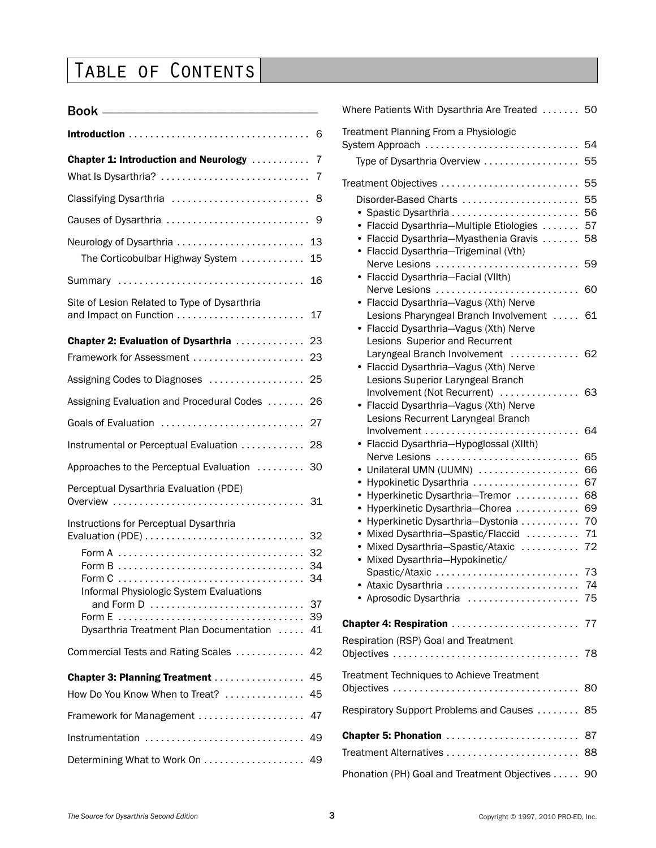## Table of Contents

| What Is Dysarthria?                                                               | 7                    |
|-----------------------------------------------------------------------------------|----------------------|
| Classifying Dysarthria                                                            | 8                    |
| Causes of Dysarthria                                                              | 9                    |
| Neurology of Dysarthria<br>The Corticobulbar Highway System                       | 13<br>15             |
| Summary                                                                           | 16                   |
| Site of Lesion Related to Type of Dysarthria<br>and Impact on Function            | 17                   |
| <b>Chapter 2: Evaluation of Dysarthria</b><br>Framework for Assessment            | 23<br>23             |
| Assigning Codes to Diagnoses                                                      | 25                   |
| Assigning Evaluation and Procedural Codes                                         | 26                   |
| Goals of Evaluation                                                               | 27                   |
| Instrumental or Perceptual Evaluation                                             | 28                   |
| Approaches to the Perceptual Evaluation                                           | 30                   |
| Perceptual Dysarthria Evaluation (PDE)                                            | 31                   |
| Instructions for Perceptual Dysarthria<br>Informal Physiologic System Evaluations | 32<br>34<br>37<br>39 |
| Dysarthria Treatment Plan Documentation                                           | 41                   |
| Commercial Tests and Rating Scales                                                | 42                   |
| Chapter 3: Planning Treatment<br>How Do You Know When to Treat?                   | 45<br>45             |
| Framework for Management                                                          | 47                   |
| Instrumentation                                                                   | 49                   |
| Determining What to Work On                                                       | 49                   |

| Treatment Planning From a Physiologic<br>System Approach<br>54<br>Type of Dysarthria Overview<br>55<br>55<br>Treatment Objectives<br>Disorder-Based Charts<br>55<br>56<br>• Spastic Dysarthria<br>• Flaccid Dysarthria-Multiple Etiologies<br>57<br>Flaccid Dysarthria-Myasthenia Gravis<br>58<br>$\bullet$<br>Flaccid Dysarthria-Trigeminal (Vth)<br>٠<br>59<br>Nerve Lesions |
|--------------------------------------------------------------------------------------------------------------------------------------------------------------------------------------------------------------------------------------------------------------------------------------------------------------------------------------------------------------------------------|
|                                                                                                                                                                                                                                                                                                                                                                                |
|                                                                                                                                                                                                                                                                                                                                                                                |
|                                                                                                                                                                                                                                                                                                                                                                                |
|                                                                                                                                                                                                                                                                                                                                                                                |
| Flaccid Dysarthria-Facial (VIIth)                                                                                                                                                                                                                                                                                                                                              |
| Nerve Lesions<br>60<br>Flaccid Dysarthria-Vagus (Xth) Nerve                                                                                                                                                                                                                                                                                                                    |
| Lesions Pharyngeal Branch Involvement<br>61<br>Flaccid Dysarthria-Vagus (Xth) Nerve<br>Lesions Superior and Recurrent                                                                                                                                                                                                                                                          |
| Laryngeal Branch Involvement<br>62<br>.<br>• Flaccid Dysarthria-Vagus (Xth) Nerve<br>Lesions Superior Laryngeal Branch                                                                                                                                                                                                                                                         |
| 63<br>Involvement (Not Recurrent)<br>Flaccid Dysarthria-Vagus (Xth) Nerve<br>Lesions Recurrent Laryngeal Branch                                                                                                                                                                                                                                                                |
| Involvement<br>64<br>Flaccid Dysarthria-Hypoglossal (XIIth)                                                                                                                                                                                                                                                                                                                    |
| Nerve Lesions<br>65<br>Unilateral UMN (UUMN)<br>66                                                                                                                                                                                                                                                                                                                             |
| 67<br>Hypokinetic Dysarthria<br>٠<br>Hyperkinetic Dysarthria-Tremor<br>68<br>٠                                                                                                                                                                                                                                                                                                 |
| Hyperkinetic Dysarthria-Chorea<br>69<br>٠<br>Hyperkinetic Dysarthria-Dystonia<br>70<br>٠                                                                                                                                                                                                                                                                                       |
| Mixed Dysarthria-Spastic/Flaccid<br>71<br>٠<br>Mixed Dysarthria-Spastic/Ataxic<br>72<br>٠<br>Mixed Dysarthria-Hypokinetic/<br>٠                                                                                                                                                                                                                                                |
| Spastic/Ataxic<br>73<br>• Ataxic Dysarthria<br>74<br>• Aprosodic Dysarthria  75                                                                                                                                                                                                                                                                                                |
|                                                                                                                                                                                                                                                                                                                                                                                |
| Respiration (RSP) Goal and Treatment                                                                                                                                                                                                                                                                                                                                           |
| Treatment Techniques to Achieve Treatment<br>80                                                                                                                                                                                                                                                                                                                                |
| Respiratory Support Problems and Causes<br>85                                                                                                                                                                                                                                                                                                                                  |
| Chapter 5: Phonation<br>87<br>88                                                                                                                                                                                                                                                                                                                                               |
| Phonation (PH) Goal and Treatment Objectives 90                                                                                                                                                                                                                                                                                                                                |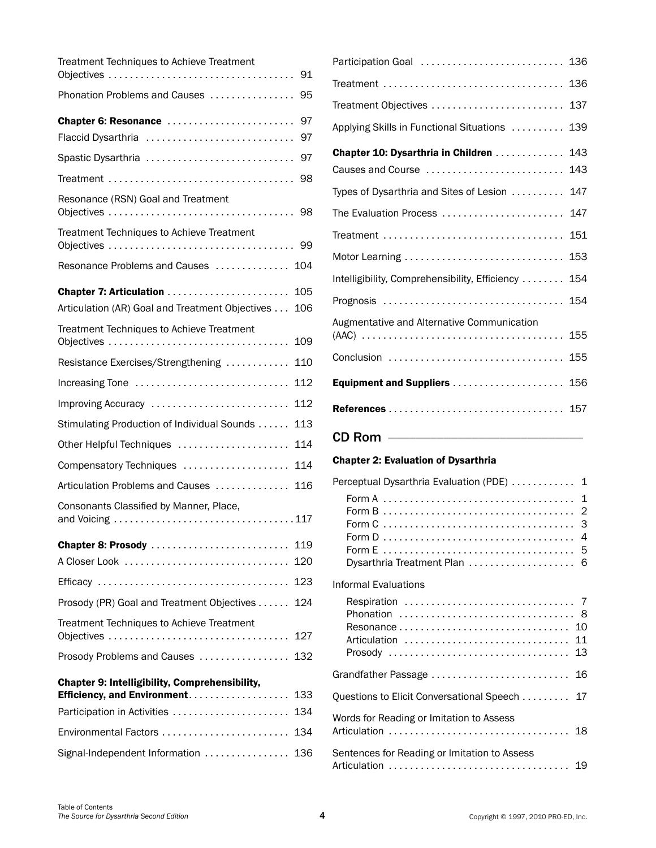| Treatment Techniques to Achieve Treatment                                 | 91  |
|---------------------------------------------------------------------------|-----|
|                                                                           |     |
| Phonation Problems and Causes                                             | 95  |
| Chapter 6: Resonance                                                      | 97  |
| Flaccid Dysarthria                                                        | 97  |
| Spastic Dysarthria                                                        | 97  |
|                                                                           | 98  |
| Resonance (RSN) Goal and Treatment                                        | 98  |
| Treatment Techniques to Achieve Treatment                                 | 99  |
| Resonance Problems and Causes<br>104                                      |     |
|                                                                           | 105 |
| Articulation (AR) Goal and Treatment Objectives<br>106                    |     |
| Treatment Techniques to Achieve Treatment                                 | 109 |
| Resistance Exercises/Strengthening                                        | 110 |
| Increasing Tone<br>112                                                    |     |
| 112<br>Improving Accuracy                                                 |     |
| Stimulating Production of Individual Sounds                               | 113 |
| Other Helpful Techniques                                                  | 114 |
| Compensatory Techniques                                                   | 114 |
| Articulation Problems and Causes                                          | 116 |
| Consonants Classified by Manner, Place,                                   |     |
| Chapter 8: Prosody<br>119                                                 |     |
|                                                                           | 120 |
| 123                                                                       |     |
| Prosody (PR) Goal and Treatment Objectives 124                            |     |
| Treatment Techniques to Achieve Treatment                                 | 127 |
| Prosody Problems and Causes  132                                          |     |
| <b>Chapter 9: Intelligibility, Comprehensibility,</b>                     |     |
| Efficiency, and Environment.<br>133<br>Participation in Activities<br>134 |     |
| Environmental Factors<br>134                                              |     |
| Signal-Independent Information  136                                       |     |
|                                                                           |     |

| Participation Goal  136                                           |     |
|-------------------------------------------------------------------|-----|
| Treatment                                                         | 136 |
| Treatment Objectives                                              | 137 |
| Applying Skills in Functional Situations                          | 139 |
| Chapter 10: Dysarthria in Children  143<br>Causes and Course  143 |     |
| Types of Dysarthria and Sites of Lesion  147                      |     |
| The Evaluation Process  147                                       |     |
|                                                                   |     |
| Motor Learning  153                                               |     |
| Intelligibility, Comprehensibility, Efficiency  154               |     |
| Prognosis  154                                                    |     |
| Augmentative and Alternative Communication                        |     |
| Conclusion  155                                                   |     |
| Equipment and Suppliers                                           | 156 |
|                                                                   |     |
| <b>CD Rom ___________________</b>                                 |     |
| <b>Chapter 2: Evaluation of Dysarthria</b>                        |     |

| Perceptual Dysarthria Evaluation (PDE)  1<br>Dysarthria Treatment Plan  6 |  |
|---------------------------------------------------------------------------|--|
| Informal Evaluations<br>Articulation  11                                  |  |
| Grandfather Passage  16                                                   |  |
| Questions to Elicit Conversational Speech 17                              |  |
| Words for Reading or Imitation to Assess                                  |  |
| Sentences for Reading or Imitation to Assess                              |  |